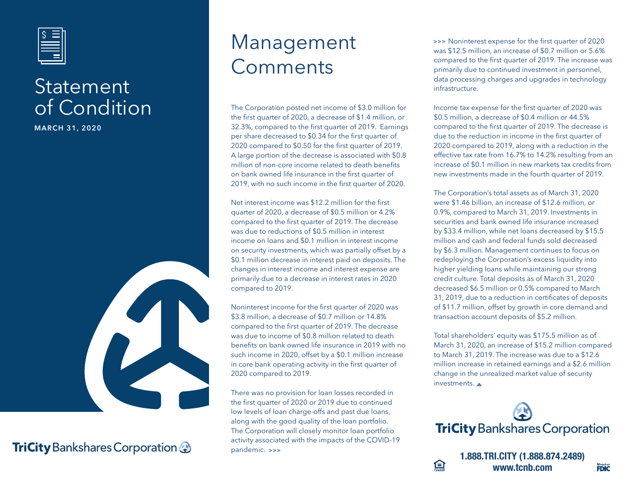

### **Statement** of Condition

**MARCH 31, 2020**



### **TriCity** Bankshares Corporation &

## Management Comments

The Corporation posted net income of \$3.0 million for the first quarter of 2020, a decrease of \$1.4 million, or 32.3%, compared to the first quarter of 2019. Earnings per share decreased to \$0.34 for the first quarter of 2020 compared to \$0.50 for the first quarter of 2019. A large portion of the decrease is associated with \$0.8 million of non-core income related to death benefits on bank owned life insurance in the first quarter of 2019, with no such income in the first quarter of 2020.

Net interest income was \$12.2 million for the first quarter of 2020, a decrease of \$0.5 million or 4.2% compared to the first quarter of 2019. The decrease was due to reductions of \$0.5 million in interest income on loans and \$0.1 million in interest income on security investments, which was partially offset by a \$0.1 million decrease in interest paid on deposits. The changes in interest income and interest expense are primarily due to a decrease in interest rates in 2020 compared to 2019.

Noninterest income for the first quarter of 2020 was \$3.8 million, a decrease of \$0.7 million or 14.8% compared to the first quarter of 2019. The decrease was due to income of \$0.8 million related to death benefits on bank owned life insurance in 2019 with no such income in 2020, offset by a \$0.1 million increase in core bank operating activity in the first quarter of 2020 compared to 2019.

There was no provision for loan losses recorded in the first quarter of 2020 or 2019 due to continued low levels of loan charge-offs and past due loans, along with the good quality of the loan portfolio. The Corporation will closely monitor loan portfolio activity associated with the impacts of the COVID-19 pandemic. **>>>**

 Noninterest expense for the first quarter of 2020 **>>>**  was \$12.5 million, an increase of \$0.7 million or 5.6% compared to the first quarter of 2019. The increase was primarily due to continued investment in personnel, data processing charges and upgrades in technology infrastructure.

Income tax expense for the first quarter of 2020 was \$0.5 million, a decrease of \$0.4 million or 44.5% compared to the first quarter of 2019. The decrease is due to the reduction in income in the first quarter of 2020 compared to 2019, along with a reduction in the effective tax rate from 16.7% to 14.2% resulting from an increase of \$0.1 million in new markets tax credits from new investments made in the fourth quarter of 2019.

The Corporation's total assets as of March 31, 2020 were \$1.46 billion, an increase of \$12.6 million, or 0.9%, compared to March 31, 2019. Investments in securities and bank owned life insurance increased by \$33.4 million, while net loans decreased by \$15.5 million and cash and federal funds sold decreased by \$6.3 million. Management continues to focus on redeploying the Corporation's excess liquidity into higher yielding loans while maintaining our strong credit culture. Total deposits as of March 31, 2020 decreased \$6.5 million or 0.5% compared to March 31, 2019, due to a reduction in certificates of deposits of \$11.7 million, offset by growth in core demand and transaction account deposits of \$5.2 million.

Total shareholders' equity was \$175.5 million as of March 31, 2020, an increase of \$15.2 million compared to March 31, 2019. The increase was due to a \$12.6 million increase in retained earnings and a \$2.6 million change in the unrealized market value of security investments.



**1.888.TRI.CITY (1.888.874.2489) www.tcnb.com**

亘